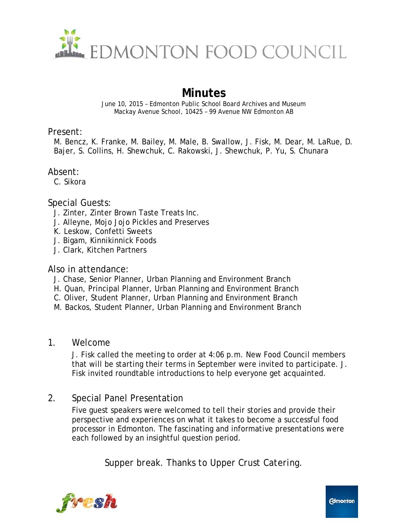

# **Minutes**

June 10, 2015 – Edmonton Public School Board Archives and Museum Mackay Avenue School, 10425 – 99 Avenue NW Edmonton AB

#### Present:

M. Bencz, K. Franke, M. Bailey, M. Male, B. Swallow, J. Fisk, M. Dear, M. LaRue, D. Bajer, S. Collins, H. Shewchuk, C. Rakowski, J. Shewchuk, P. Yu, S. Chunara

# Absent:

C. Sikora

#### Special Guests:

- J. Zinter, Zinter Brown Taste Treats Inc.
- J. Alleyne, Mojo Jojo Pickles and Preserves
- K. Leskow, Confetti Sweets
- J. Bigam, Kinnikinnick Foods
- J. Clark, Kitchen Partners

#### Also in attendance:

- J. Chase, Senior Planner, Urban Planning and Environment Branch
- H. Quan, Principal Planner, Urban Planning and Environment Branch
- C. Oliver, Student Planner, Urban Planning and Environment Branch
- M. Backos, Student Planner, Urban Planning and Environment Branch

#### 1. Welcome

J. Fisk called the meeting to order at 4:06 p.m. New Food Council members that will be starting their terms in September were invited to participate. J. Fisk invited roundtable introductions to help everyone get acquainted.

# 2. Special Panel Presentation

Five guest speakers were welcomed to tell their stories and provide their perspective and experiences on what it takes to become a successful food processor in Edmonton. The fascinating and informative presentations were each followed by an insightful question period.

*Supper break. Thanks to Upper Crust Catering.*

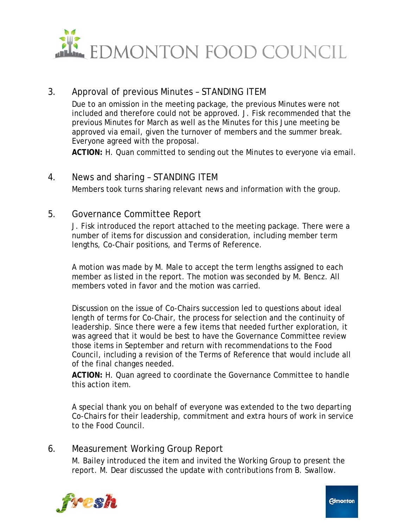

# 3. Approval of previous Minutes – STANDING ITEM

Due to an omission in the meeting package, the previous Minutes were not included and therefore could not be approved. J. Fisk recommended that the previous Minutes for March as well as the Minutes for this June meeting be approved via email, given the turnover of members and the summer break. Everyone agreed with the proposal.

**ACTION:** H. Quan committed to sending out the Minutes to everyone via email.

# 4. News and sharing – STANDING ITEM Members took turns sharing relevant news and information with the group.

#### 5. Governance Committee Report

J. Fisk introduced the report attached to the meeting package. There were a number of items for discussion and consideration, including member term lengths, Co-Chair positions, and Terms of Reference.

A motion was made by M. Male to accept the term lengths assigned to each member as listed in the report. The motion was seconded by M. Bencz. All members voted in favor and the motion was carried.

Discussion on the issue of Co-Chairs succession led to questions about ideal length of terms for Co-Chair, the process for selection and the continuity of leadership. Since there were a few items that needed further exploration, it was agreed that it would be best to have the Governance Committee review those items in September and return with recommendations to the Food Council, including a revision of the Terms of Reference that would include all of the final changes needed.

**ACTION:** H. Quan agreed to coordinate the Governance Committee to handle this action item.

A special thank you on behalf of everyone was extended to the two departing Co-Chairs for their leadership, commitment and extra hours of work in service to the Food Council.

# 6. Measurement Working Group Report

M. Bailey introduced the item and invited the Working Group to present the report. M. Dear discussed the update with contributions from B. Swallow.



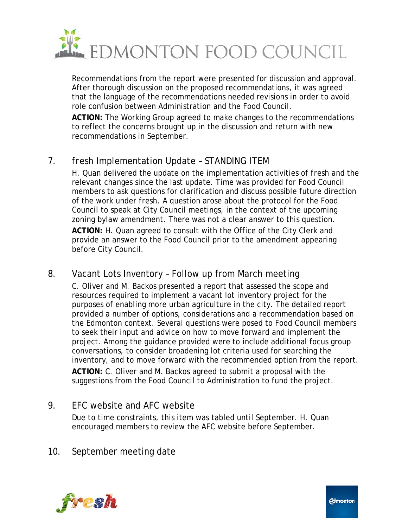

Recommendations from the report were presented for discussion and approval. After thorough discussion on the proposed recommendations, it was agreed that the language of the recommendations needed revisions in order to avoid role confusion between Administration and the Food Council.

**ACTION:** The Working Group agreed to make changes to the recommendations to reflect the concerns brought up in the discussion and return with new recommendations in September.

# 7. *fresh* Implementation Update – STANDING ITEM

H. Quan delivered the update on the implementation activities of *fresh* and the relevant changes since the last update. Time was provided for Food Council members to ask questions for clarification and discuss possible future direction of the work under *fresh*. A question arose about the protocol for the Food Council to speak at City Council meetings, in the context of the upcoming zoning bylaw amendment. There was not a clear answer to this question.

**ACTION:** H. Quan agreed to consult with the Office of the City Clerk and provide an answer to the Food Council prior to the amendment appearing before City Council.

# 8. Vacant Lots Inventory – Follow up from March meeting

C. Oliver and M. Backos presented a report that assessed the scope and resources required to implement a vacant lot inventory project for the purposes of enabling more urban agriculture in the city. The detailed report provided a number of options, considerations and a recommendation based on the Edmonton context. Several questions were posed to Food Council members to seek their input and advice on how to move forward and implement the project. Among the guidance provided were to include additional focus group conversations, to consider broadening lot criteria used for searching the inventory, and to move forward with the recommended option from the report. **ACTION:** C. Oliver and M. Backos agreed to submit a proposal with the suggestions from the Food Council to Administration to fund the project.

# 9. EFC website and AFC website

Due to time constraints, this item was tabled until September. H. Quan encouraged members to review the AFC website before September.

# 10. September meeting date